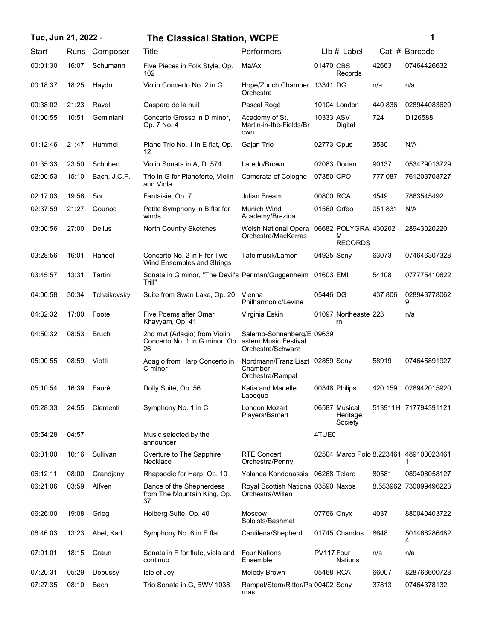## **Tue, Jun 21, 2022 - 1 The Classical Station, WCPE**

| Start    | Runs  | Composer     | Title                                                                                      | Performers                                                     |             | LIb # Label                                 |         | Cat. # Barcode                              |
|----------|-------|--------------|--------------------------------------------------------------------------------------------|----------------------------------------------------------------|-------------|---------------------------------------------|---------|---------------------------------------------|
| 00:01:30 | 16:07 | Schumann     | Five Pieces in Folk Style, Op.<br>102                                                      | Ma/Ax                                                          | 01470 CBS   | Records                                     | 42663   | 07464426632                                 |
| 00:18:37 | 18:25 | Haydn        | Violin Concerto No. 2 in G                                                                 | Hope/Zurich Chamber 13341 DG<br>Orchestra                      |             |                                             | n/a     | n/a                                         |
| 00:38:02 | 21:23 | Ravel        | Gaspard de la nuit                                                                         | Pascal Rogé                                                    |             | 10104 London                                | 440 836 | 028944083620                                |
| 01:00:55 | 10:51 | Geminiani    | Concerto Grosso in D minor,<br>Op. 7 No. 4                                                 | Academy of St.<br>Martin-in-the-Fields/Br<br>own               | 10333 ASV   | Digital                                     | 724     | D126588                                     |
| 01:12:46 | 21:47 | Hummel       | Piano Trio No. 1 in E flat, Op.<br>12                                                      | Gajan Trio                                                     | 02773 Opus  |                                             | 3530    | N/A                                         |
| 01:35:33 | 23:50 | Schubert     | Violin Sonata in A, D. 574                                                                 | Laredo/Brown                                                   |             | 02083 Dorian                                | 90137   | 053479013729                                |
| 02:00:53 | 15:10 | Bach, J.C.F. | Trio in G for Pianoforte, Violin<br>and Viola                                              | Camerata of Cologne                                            | 07350 CPO   |                                             | 777 087 | 761203708727                                |
| 02:17:03 | 19:56 | Sor          | Fantaisie, Op. 7                                                                           | Julian Bream                                                   | 00800 RCA   |                                             | 4549    | 7863545492                                  |
| 02:37:59 | 21:27 | Gounod       | Petite Symphony in B flat for<br>winds                                                     | Munich Wind<br>Academy/Brezina                                 | 01560 Orfeo |                                             | 051831  | N/A                                         |
| 03:00:56 | 27:00 | Delius       | North Country Sketches                                                                     | Welsh National Opera<br>Orchestra/MacKerras                    |             | 06682 POLYGRA 430202<br>м<br><b>RECORDS</b> |         | 28943020220                                 |
| 03:28:56 | 16:01 | Handel       | Concerto No. 2 in F for Two<br>Wind Ensembles and Strings                                  | Tafelmusik/Lamon                                               | 04925 Sony  |                                             | 63073   | 074646307328                                |
| 03:45:57 | 13:31 | Tartini      | Sonata in G minor, "The Devil's Perlman/Guggenheim 01603 EMI<br>Trill"                     |                                                                |             |                                             | 54108   | 077775410822                                |
| 04:00:58 | 30:34 | Tchaikovsky  | Suite from Swan Lake, Op. 20                                                               | Vienna<br>Philharmonic/Levine                                  | 05446 DG    |                                             | 437 806 | 028943778062<br>9                           |
| 04:32:32 | 17:00 | Foote        | Five Poems after Omar<br>Khayyam, Op. 41                                                   | Virginia Eskin                                                 |             | 01097 Northeaste 223<br>rn                  |         | n/a                                         |
| 04:50:32 | 08:53 | <b>Bruch</b> | 2nd mvt (Adagio) from Violin<br>Concerto No. 1 in G minor, Op. astern Music Festival<br>26 | Salerno-Sonnenberg/E 09639<br>Orchestra/Schwarz                |             |                                             |         |                                             |
| 05:00:55 | 08:59 | Viotti       | Adagio from Harp Concerto in<br>C minor                                                    | Nordmann/Franz Liszt 02859 Sony<br>Chamber<br>Orchestra/Rampal |             |                                             | 58919   | 074645891927                                |
| 05:10:54 | 16:39 | Fauré        | Dolly Suite, Op. 56                                                                        | Katia and Marielle<br>Labeque                                  |             | 00348 Philips                               | 420 159 | 028942015920                                |
| 05:28:33 | 24:55 | Clementi     | Symphony No. 1 in C                                                                        | London Mozart<br>Players/Bamert                                |             | 06587 Musical<br>Heritage<br>Society        |         | 513911H 717794391121                        |
| 05:54:28 | 04:57 |              | Music selected by the<br>announcer                                                         |                                                                | 4TUE0       |                                             |         |                                             |
| 06:01:00 | 10:16 | Sullivan     | Overture to The Sapphire<br>Necklace                                                       | <b>RTE Concert</b><br>Orchestra/Penny                          |             |                                             |         | 02504 Marco Polo 8.223461 489103023461<br>1 |
| 06:12:11 | 08:00 | Grandjany    | Rhapsodie for Harp, Op. 10                                                                 | Yolanda Kondonassis                                            |             | 06268 Telarc                                | 80581   | 089408058127                                |
| 06:21:06 | 03:59 | Alfven       | Dance of the Shepherdess<br>from The Mountain King, Op.<br>37                              | Royal Scottish National 03590 Naxos<br>Orchestra/Willen        |             |                                             |         | 8.553962 730099496223                       |
| 06:26:00 | 19:08 | Grieg        | Holberg Suite, Op. 40                                                                      | <b>Moscow</b><br>Soloists/Bashmet                              | 07766 Onyx  |                                             | 4037    | 880040403722                                |
| 06:46:03 | 13:23 | Abel, Karl   | Symphony No. 6 in E flat                                                                   | Cantilena/Shepherd                                             |             | 01745 Chandos                               | 8648    | 501468286482<br>4                           |
| 07:01:01 | 18:15 | Graun        | Sonata in F for flute, viola and<br>continuo                                               | <b>Four Nations</b><br>Ensemble                                | PV117 Four  | Nations                                     | n/a     | n/a                                         |
| 07:20:31 | 05:29 | Debussy      | Isle of Joy                                                                                | Melody Brown                                                   | 05468 RCA   |                                             | 66007   | 828766600728                                |
| 07:27:35 | 08:10 | Bach         | Trio Sonata in G, BWV 1038                                                                 | Rampal/Stern/Ritter/Pa 00402 Sony<br>rnas                      |             |                                             | 37813   | 07464378132                                 |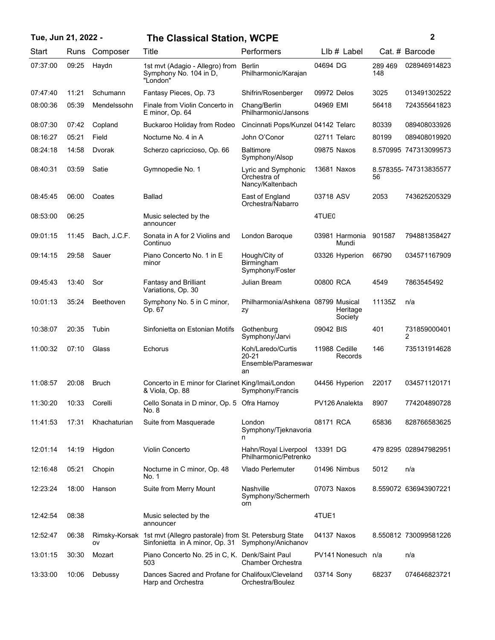| <b>The Classical Station, WCPE</b><br>Tue, Jun 21, 2022 - |       |              |                                                                                                                          |                                                             |                          |                | $\mathbf{2}$          |
|-----------------------------------------------------------|-------|--------------|--------------------------------------------------------------------------------------------------------------------------|-------------------------------------------------------------|--------------------------|----------------|-----------------------|
| Start                                                     | Runs  | Composer     | Title                                                                                                                    | Performers                                                  | LIb # Label              |                | Cat. # Barcode        |
| 07:37:00                                                  | 09:25 | Haydn        | 1st mvt (Adagio - Allegro) from<br>Symphony No. 104 in D,<br>"London"                                                    | <b>Berlin</b><br>Philharmonic/Karajan                       | 04694 DG                 | 289 469<br>148 | 028946914823          |
| 07:47:40                                                  | 11:21 | Schumann     | Fantasy Pieces, Op. 73                                                                                                   | Shifrin/Rosenberger                                         | 09972 Delos              | 3025           | 013491302522          |
| 08:00:36                                                  | 05:39 | Mendelssohn  | Finale from Violin Concerto in<br>E minor, Op. 64                                                                        | Chang/Berlin<br>Philharmonic/Jansons                        | 04969 EMI                | 56418          | 724355641823          |
| 08:07:30                                                  | 07:42 | Copland      | Buckaroo Holiday from Rodeo                                                                                              | Cincinnati Pops/Kunzel 04142 Telarc                         |                          | 80339          | 089408033926          |
| 08:16:27                                                  | 05:21 | Field        | Nocturne No. 4 in A                                                                                                      | John O'Conor                                                | 02711 Telarc             | 80199          | 089408019920          |
| 08:24:18                                                  | 14:58 | Dvorak       | Scherzo capriccioso, Op. 66                                                                                              | <b>Baltimore</b><br>Symphony/Alsop                          | 09875 Naxos              |                | 8.570995 747313099573 |
| 08:40:31                                                  | 03:59 | Satie        | Gymnopedie No. 1                                                                                                         | Lyric and Symphonic<br>Orchestra of<br>Nancy/Kaltenbach     | 13681 Naxos              | 56             | 8.578355-747313835577 |
| 08:45:45                                                  | 06:00 | Coates       | <b>Ballad</b>                                                                                                            | East of England<br>Orchestra/Nabarro                        | 03718 ASV                | 2053           | 743625205329          |
| 08:53:00                                                  | 06:25 |              | Music selected by the<br>announcer                                                                                       |                                                             | 4TUE0                    |                |                       |
| 09:01:15                                                  | 11:45 | Bach, J.C.F. | Sonata in A for 2 Violins and<br>Continuo                                                                                | London Baroque                                              | 03981 Harmonia<br>Mundi  | 901587         | 794881358427          |
| 09:14:15                                                  | 29:58 | Sauer        | Piano Concerto No. 1 in E<br>minor                                                                                       | Hough/City of<br>Birmingham<br>Symphony/Foster              | 03326 Hyperion           | 66790          | 034571167909          |
| 09:45:43                                                  | 13:40 | Sor          | <b>Fantasy and Brilliant</b><br>Variations, Op. 30                                                                       | Julian Bream                                                | 00800 RCA                | 4549           | 7863545492            |
| 10:01:13                                                  | 35:24 | Beethoven    | Symphony No. 5 in C minor,<br>Op. 67                                                                                     | Philharmonia/Ashkena 08799 Musical<br>zy                    | Heritage<br>Society      | 11135Z         | n/a                   |
| 10:38:07                                                  | 20:35 | Tubin        | Sinfonietta on Estonian Motifs                                                                                           | Gothenburg<br>Symphony/Jarvi                                | 09042 BIS                | 401            | 731859000401<br>2     |
| 11:00:32                                                  | 07:10 | Glass        | Echorus                                                                                                                  | Koh/Laredo/Curtis<br>$20 - 21$<br>Ensemble/Parameswar<br>an | 11988 Cedille<br>Records | 146            | 735131914628          |
| 11:08:57                                                  | 20:08 | <b>Bruch</b> | Concerto in E minor for Clarinet King/Imai/London<br>& Viola, Op. 88                                                     | Symphony/Francis                                            | 04456 Hyperion           | 22017          | 034571120171          |
| 11:30:20                                                  | 10:33 | Corelli      | Cello Sonata in D minor, Op. 5 Ofra Harnoy<br>No. 8                                                                      |                                                             | PV126 Analekta           | 8907           | 774204890728          |
| 11:41:53                                                  | 17:31 | Khachaturian | Suite from Masquerade                                                                                                    | London<br>Symphony/Tjeknavoria<br>n                         | 08171 RCA                | 65836          | 828766583625          |
| 12:01:14                                                  | 14:19 | Higdon       | Violin Concerto                                                                                                          | Hahn/Royal Liverpool<br>Philharmonic/Petrenko               | 13391 DG                 |                | 479 8295 028947982951 |
| 12:16:48                                                  | 05:21 | Chopin       | Nocturne in C minor, Op. 48<br>No. 1                                                                                     | <b>Vlado Perlemuter</b>                                     | 01496 Nimbus             | 5012           | n/a                   |
| 12:23:24                                                  | 18:00 | Hanson       | Suite from Merry Mount                                                                                                   | Nashville<br>Symphony/Schermerh<br>orn                      | 07073 Naxos              |                | 8.559072 636943907221 |
| 12:42:54                                                  | 08:38 |              | Music selected by the<br>announcer                                                                                       |                                                             | 4TUE1                    |                |                       |
| 12:52:47                                                  | 06:38 | ov           | Rimsky-Korsak 1st mvt (Allegro pastorale) from St. Petersburg State<br>Sinfonietta in A minor, Op. 31 Symphony/Anichanov |                                                             | 04137 Naxos              |                | 8.550812 730099581226 |
| 13:01:15                                                  | 30:30 | Mozart       | Piano Concerto No. 25 in C, K. Denk/Saint Paul<br>503                                                                    | Chamber Orchestra                                           | PV141 Nonesuch n/a       |                | n/a                   |
| 13:33:00                                                  | 10:06 | Debussy      | Dances Sacred and Profane for Chalifoux/Cleveland<br>Harp and Orchestra                                                  | Orchestra/Boulez                                            | 03714 Sony               | 68237          | 074646823721          |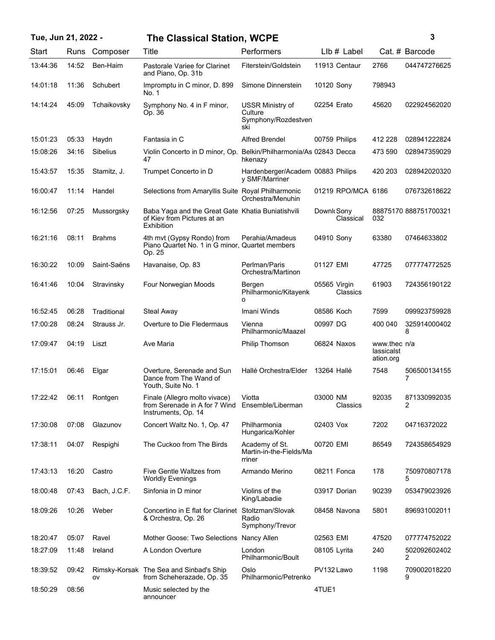| Tue, Jun 21, 2022 - |       |                 | <b>The Classical Station, WCPE</b>                                                                    |                                                                  |                          |                                         | 3                     |
|---------------------|-------|-----------------|-------------------------------------------------------------------------------------------------------|------------------------------------------------------------------|--------------------------|-----------------------------------------|-----------------------|
| Start               |       | Runs Composer   | Title                                                                                                 | Performers                                                       | LIb # Label              |                                         | Cat. # Barcode        |
| 13:44:36            | 14:52 | Ben-Haim        | Pastorale Variee for Clarinet<br>and Piano, Op. 31b                                                   | Fiterstein/Goldstein                                             | 11913 Centaur            | 2766                                    | 044747276625          |
| 14:01:18            | 11:36 | Schubert        | Impromptu in C minor, D. 899<br>No. 1                                                                 | Simone Dinnerstein                                               | 10120 Sony               | 798943                                  |                       |
| 14:14:24            | 45:09 | Tchaikovsky     | Symphony No. 4 in F minor,<br>Op. 36                                                                  | <b>USSR Ministry of</b><br>Culture<br>Symphony/Rozdestven<br>ski | 02254 Erato              | 45620                                   | 022924562020          |
| 15:01:23            | 05:33 | Haydn           | Fantasia in C                                                                                         | Alfred Brendel                                                   | 00759 Philips            | 412 228                                 | 028941222824          |
| 15:08:26            | 34:16 | <b>Sibelius</b> | Violin Concerto in D minor, Op. Belkin/Philharmonia/As 02843 Decca<br>47                              | hkenazy                                                          |                          | 473 590                                 | 028947359029          |
| 15:43:57            | 15:35 | Stamitz, J.     | Trumpet Concerto in D                                                                                 | Hardenberger/Academ 00883 Philips<br>y SMF/Marriner              |                          | 420 203                                 | 028942020320          |
| 16:00:47            | 11:14 | Handel          | Selections from Amaryllis Suite Royal Philharmonic                                                    | Orchestra/Menuhin                                                | 01219 RPO/MCA 6186       |                                         | 076732618622          |
| 16:12:56            | 07:25 | Mussorgsky      | Baba Yaga and the Great Gate Khatia Buniatishvili<br>of Kiev from Pictures at an<br><b>Exhibition</b> |                                                                  | Downk Sony<br>Classical  | 032                                     | 88875170 888751700321 |
| 16:21:16            | 08:11 | <b>Brahms</b>   | 4th mvt (Gypsy Rondo) from<br>Piano Quartet No. 1 in G minor, Quartet members<br>Op. 25               | Perahia/Amadeus                                                  | 04910 Sony               | 63380                                   | 07464633802           |
| 16:30:22            | 10:09 | Saint-Saëns     | Havanaise, Op. 83                                                                                     | Perlman/Paris<br>Orchestra/Martinon                              | 01127 EMI                | 47725                                   | 077774772525          |
| 16:41:46            | 10:04 | Stravinsky      | Four Norwegian Moods                                                                                  | Bergen<br>Philharmonic/Kitayenk<br>o                             | 05565 Virgin<br>Classics | 61903                                   | 724356190122          |
| 16:52:45            | 06:28 | Traditional     | <b>Steal Away</b>                                                                                     | Imani Winds                                                      | 08586 Koch               | 7599                                    | 099923759928          |
| 17:00:28            | 08:24 | Strauss Jr.     | Overture to Die Fledermaus                                                                            | Vienna<br>Philharmonic/Maazel                                    | 00997 DG                 | 400 040                                 | 325914000402<br>8     |
| 17:09:47            | 04:19 | Liszt           | Ave Maria                                                                                             | <b>Philip Thomson</b>                                            | 06824 Naxos              | www.thec n/a<br>lassicalst<br>ation.org |                       |
| 17:15:01            | 06:46 | Elgar           | Overture, Serenade and Sun<br>Dance from The Wand of<br>Youth, Suite No. 1                            | Hallé Orchestra/Elder 13264 Hallé                                |                          | 7548                                    | 506500134155          |
| 17:22:42            |       | 06:11 Rontgen   | Finale (Allegro molto vivace)<br>from Serenade in A for 7 Wind<br>Instruments, Op. 14                 | Viotta<br>Ensemble/Liberman                                      | 03000 NM<br>Classics     | 92035                                   | 871330992035<br>2     |
| 17:30:08            | 07:08 | Glazunov        | Concert Waltz No. 1, Op. 47                                                                           | Philharmonia<br>Hungarica/Kohler                                 | 02403 Vox                | 7202                                    | 04716372022           |
| 17:38:11            | 04:07 | Respighi        | The Cuckoo from The Birds                                                                             | Academy of St.<br>Martin-in-the-Fields/Ma<br>rriner              | 00720 EMI                | 86549                                   | 724358654929          |
| 17:43:13            | 16:20 | Castro          | Five Gentle Waltzes from<br><b>Worldly Evenings</b>                                                   | Armando Merino                                                   | 08211 Fonca              | 178                                     | 750970807178<br>5     |
| 18:00:48            | 07:43 | Bach, J.C.F.    | Sinfonia in D minor                                                                                   | Violins of the<br>King/Labadie                                   | 03917 Dorian             | 90239                                   | 053479023926          |
| 18:09:26            | 10:26 | Weber           | Concertino in E flat for Clarinet Stoltzman/Slovak<br>& Orchestra, Op. 26                             | Radio<br>Symphony/Trevor                                         | 08458 Navona             | 5801                                    | 896931002011          |
| 18:20:47            | 05:07 | Ravel           | Mother Goose: Two Selections Nancy Allen                                                              |                                                                  | 02563 EMI                | 47520                                   | 077774752022          |
| 18:27:09            | 11:48 | Ireland         | A London Overture                                                                                     | London<br>Philharmonic/Boult                                     | 08105 Lyrita             | 240                                     | 502092602402<br>2     |
| 18:39:52            | 09:42 | ov              | Rimsky-Korsak The Sea and Sinbad's Ship<br>from Scheherazade, Op. 35                                  | Oslo<br>Philharmonic/Petrenko                                    | PV132 Lawo               | 1198                                    | 709002018220<br>9     |
| 18:50:29            | 08:56 |                 | Music selected by the<br>announcer                                                                    |                                                                  | 4TUE1                    |                                         |                       |